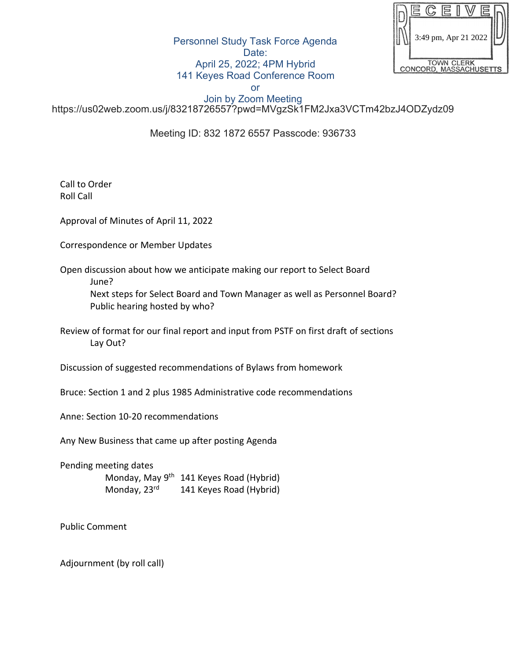|                                             | 3:49 pm, Apr 21 2022 |  |  |  |  |  |  |
|---------------------------------------------|----------------------|--|--|--|--|--|--|
|                                             |                      |  |  |  |  |  |  |
|                                             |                      |  |  |  |  |  |  |
| <b>TOWN CLERK</b><br>CONCORD, MASSACHUSETTS |                      |  |  |  |  |  |  |

Personnel Study Task Force Agenda Date: April 25, 2022; 4PM Hybrid 141 Keyes Road Conference Room

or

Join by Zoom Meeting https://us02web.zoom.us/j/83218726557?pwd=MVgzSk1FM2Jxa3VCTm42bzJ4ODZydz09

Meeting ID: 832 1872 6557 Passcode: 936733

Call to Order Roll Call

Approval of Minutes of April 11, 2022

Correspondence or Member Updates

Open discussion about how we anticipate making our report to Select Board June?

Next steps for Select Board and Town Manager as well as Personnel Board? Public hearing hosted by who?

Review of format for our final report and input from PSTF on first draft of sections Lay Out?

Discussion of suggested recommendations of Bylaws from homework

Bruce: Section 1 and 2 plus 1985 Administrative code recommendations

Anne: Section 10-20 recommendations

Any New Business that came up after posting Agenda

Pending meeting dates Monday, May 9<sup>th</sup> 141 Keyes Road (Hybrid) Monday, 23<sup>rd</sup> 141 Keyes Road (Hybrid)

Public Comment

Adjournment (by roll call)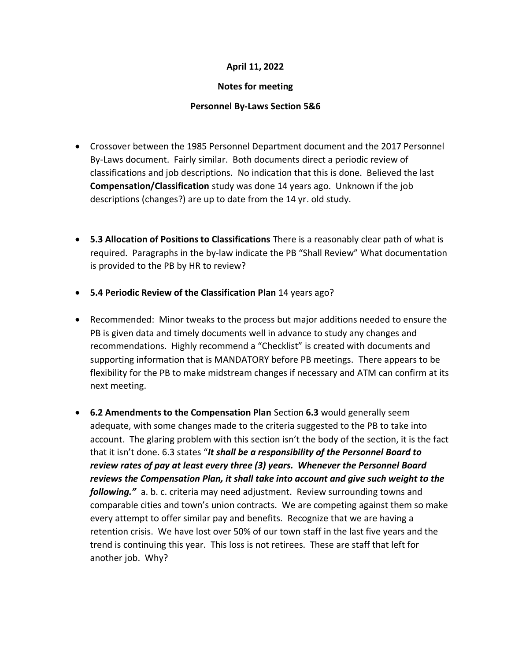### **April 11, 2022**

#### **Notes for meeting**

#### **Personnel By-Laws Section 5&6**

- Crossover between the 1985 Personnel Department document and the 2017 Personnel By-Laws document. Fairly similar. Both documents direct a periodic review of classifications and job descriptions. No indication that this is done. Believed the last **Compensation/Classification** study was done 14 years ago. Unknown if the job descriptions (changes?) are up to date from the 14 yr. old study.
- **5.3 Allocation of Positions to Classifications** There is a reasonably clear path of what is required. Paragraphs in the by-law indicate the PB "Shall Review" What documentation is provided to the PB by HR to review?
- **5.4 Periodic Review of the Classification Plan** 14 years ago?
- Recommended: Minor tweaks to the process but major additions needed to ensure the PB is given data and timely documents well in advance to study any changes and recommendations. Highly recommend a "Checklist" is created with documents and supporting information that is MANDATORY before PB meetings. There appears to be flexibility for the PB to make midstream changes if necessary and ATM can confirm at its next meeting.
- **6.2 Amendments to the Compensation Plan** Section **6.3** would generally seem adequate, with some changes made to the criteria suggested to the PB to take into account. The glaring problem with this section isn't the body of the section, it is the fact that it isn't done. 6.3 states "*It shall be a responsibility of the Personnel Board to review rates of pay at least every three (3) years. Whenever the Personnel Board reviews the Compensation Plan, it shall take into account and give such weight to the following."* a. b. c. criteria may need adjustment. Review surrounding towns and comparable cities and town's union contracts. We are competing against them so make every attempt to offer similar pay and benefits. Recognize that we are having a retention crisis. We have lost over 50% of our town staff in the last five years and the trend is continuing this year. This loss is not retirees. These are staff that left for another job. Why?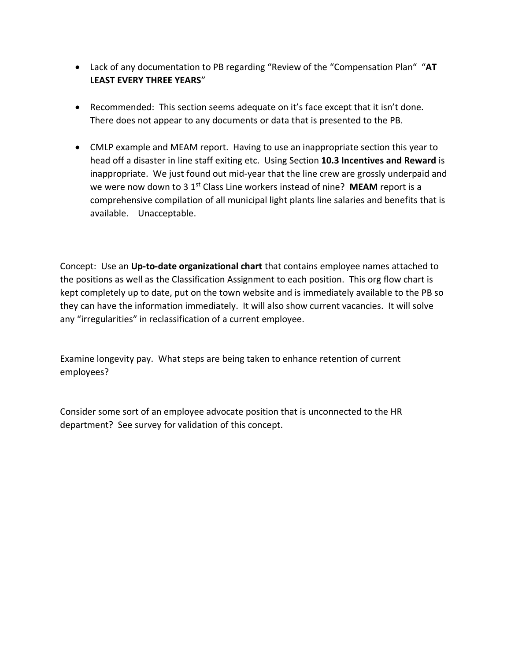- Lack of any documentation to PB regarding "Review of the "Compensation Plan" "**AT LEAST EVERY THREE YEARS**"
- Recommended: This section seems adequate on it's face except that it isn't done. There does not appear to any documents or data that is presented to the PB.
- CMLP example and MEAM report. Having to use an inappropriate section this year to head off a disaster in line staff exiting etc. Using Section **10.3 Incentives and Reward** is inappropriate. We just found out mid-year that the line crew are grossly underpaid and we were now down to 3 1<sup>st</sup> Class Line workers instead of nine? **MEAM** report is a comprehensive compilation of all municipal light plants line salaries and benefits that is available. Unacceptable.

Concept: Use an **Up-to-date organizational chart** that contains employee names attached to the positions as well as the Classification Assignment to each position. This org flow chart is kept completely up to date, put on the town website and is immediately available to the PB so they can have the information immediately. It will also show current vacancies. It will solve any "irregularities" in reclassification of a current employee.

Examine longevity pay. What steps are being taken to enhance retention of current employees?

Consider some sort of an employee advocate position that is unconnected to the HR department? See survey for validation of this concept.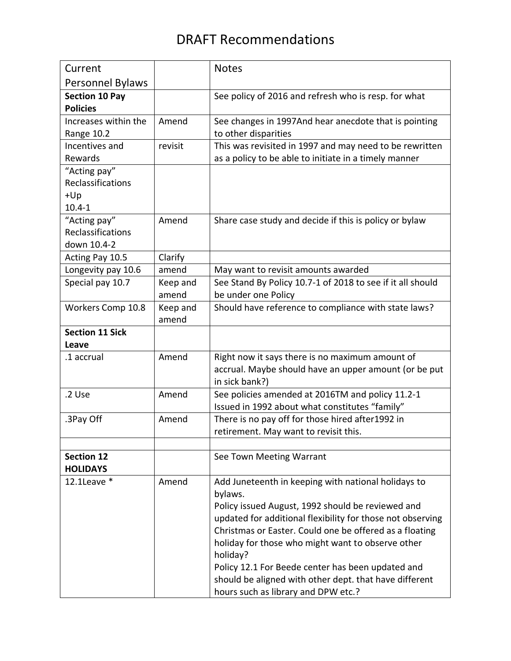# DRAFT Recommendations

| Current                 |                   | <b>Notes</b>                                               |
|-------------------------|-------------------|------------------------------------------------------------|
| <b>Personnel Bylaws</b> |                   |                                                            |
| <b>Section 10 Pay</b>   |                   | See policy of 2016 and refresh who is resp. for what       |
| <b>Policies</b>         |                   |                                                            |
| Increases within the    | Amend             | See changes in 1997And hear anecdote that is pointing      |
| Range 10.2              |                   | to other disparities                                       |
| Incentives and          | revisit           | This was revisited in 1997 and may need to be rewritten    |
| Rewards                 |                   | as a policy to be able to initiate in a timely manner      |
| "Acting pay"            |                   |                                                            |
| Reclassifications       |                   |                                                            |
| $+Up$                   |                   |                                                            |
| $10.4 - 1$              |                   |                                                            |
| "Acting pay"            | Amend             | Share case study and decide if this is policy or bylaw     |
| Reclassifications       |                   |                                                            |
| down 10.4-2             |                   |                                                            |
| Acting Pay 10.5         | Clarify           |                                                            |
| Longevity pay 10.6      | amend             | May want to revisit amounts awarded                        |
| Special pay 10.7        | Keep and          | See Stand By Policy 10.7-1 of 2018 to see if it all should |
|                         | amend             | be under one Policy                                        |
| Workers Comp 10.8       | Keep and<br>amend | Should have reference to compliance with state laws?       |
| <b>Section 11 Sick</b>  |                   |                                                            |
| Leave                   |                   |                                                            |
| .1 accrual              | Amend             | Right now it says there is no maximum amount of            |
|                         |                   | accrual. Maybe should have an upper amount (or be put      |
|                         |                   | in sick bank?)                                             |
| .2 Use                  | Amend             | See policies amended at 2016TM and policy 11.2-1           |
|                         |                   | Issued in 1992 about what constitutes "family"             |
| .3Pay Off               | Amend             | There is no pay off for those hired after1992 in           |
|                         |                   | retirement. May want to revisit this.                      |
|                         |                   |                                                            |
| <b>Section 12</b>       |                   | See Town Meeting Warrant                                   |
| <b>HOLIDAYS</b>         |                   |                                                            |
| $12.1$ Leave $*$        | Amend             | Add Juneteenth in keeping with national holidays to        |
|                         |                   | bylaws.                                                    |
|                         |                   | Policy issued August, 1992 should be reviewed and          |
|                         |                   | updated for additional flexibility for those not observing |
|                         |                   | Christmas or Easter. Could one be offered as a floating    |
|                         |                   | holiday for those who might want to observe other          |
|                         |                   | holiday?                                                   |
|                         |                   | Policy 12.1 For Beede center has been updated and          |
|                         |                   | should be aligned with other dept. that have different     |
|                         |                   | hours such as library and DPW etc.?                        |